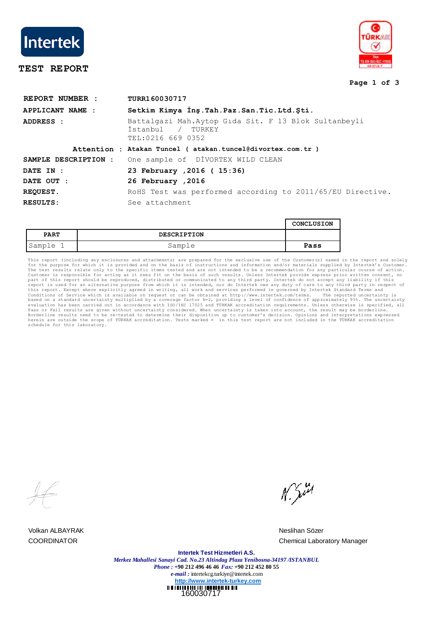

# **TEST REPORT**



### **Page 1 of 3**

| REPORT NUMBER :      | TURR160030717                                                                                     |  |  |  |
|----------------------|---------------------------------------------------------------------------------------------------|--|--|--|
| APPLICANT NAME :     | Setkim Kimya Inş. Tah. Paz. San. Tic. Ltd. Şti.                                                   |  |  |  |
| ADDRESS :            | Battalgazi Mah.Aytop Gida Sit. F 13 Blok Sultanbeyli<br>İstanbul<br>/ TURKEY<br>TEL:0216 669 0352 |  |  |  |
|                      | Attention : Atakan Tuncel ( atakan.tuncel@divortex.com.tr )                                       |  |  |  |
| SAMPLE DESCRIPTION : | One sample of DIVORTEX WILD CLEAN                                                                 |  |  |  |
| DATE IN :            | 23 February , 2016 ( 15:36)                                                                       |  |  |  |
| DATE OUT :           | 26 February , 2016                                                                                |  |  |  |
| <b>REQUEST.</b>      | RoHS Test was performed according to 2011/65/EU Directive.                                        |  |  |  |
| RESULTS:             | See attachment                                                                                    |  |  |  |

|             |                    | CONCLUSION |
|-------------|--------------------|------------|
| <b>PART</b> | <b>DESCRIPTION</b> |            |
| Sample 1    | Sample             | Pass       |

This report (including any enclosures and attachments) are prepared for the ecclusive use of the Customer(s) named in the report and solely the extremit on any price of the Customer. The test results relate only to the spe

Volkan ALBAYRAK Neslihan Sözer

N. Juri

COORDINATOR Chemical Laboratory Manager

160030717 **Intertek Test Hizmetleri A.S.** *Merkez Mahallesi Sanayi Cad. No.23 Altindag Plaza Yenibosna-34197 /ISTANBUL Phone : +***90 212 496 46 46** *Fax:* **+90 212 452 80 55** *e-mail :* intertekcg.turkiye@intertek.com **http://www.intertek-turkey.com**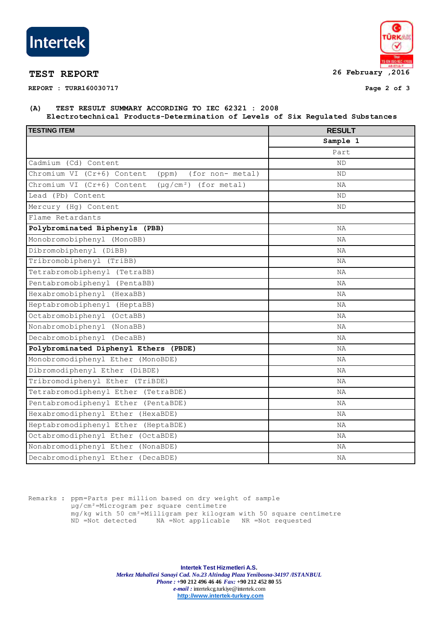

**REPORT : TURR160030717 Page 2 of 3**



## **(A) TEST RESULT SUMMARY ACCORDING TO IEC 62321 : 2008 Electrotechnical Products-Determination of Levels of Six Regulated Substances**

| <b>TESTING ITEM</b>                                      | <b>RESULT</b> |  |
|----------------------------------------------------------|---------------|--|
|                                                          | Sample 1      |  |
|                                                          | Part          |  |
| Cadmium (Cd) Content                                     | ND            |  |
| Chromium VI (Cr+6) Content<br>(for non- metal)<br>(ppm)  | ND            |  |
| Chromium VI (Cr+6) Content<br>$(\mu q/cm^2)$ (for metal) | ΝA            |  |
| Lead (Pb) Content                                        | ΝD            |  |
| Mercury (Hg) Content                                     | ΝD            |  |
| Flame Retardants                                         |               |  |
| Polybrominated Biphenyls (PBB)                           | ΝA            |  |
| Monobromobiphenyl (MonoBB)                               | NA            |  |
| Dibromobiphenyl (DiBB)                                   | ΝA            |  |
| Tribromobiphenyl (TriBB)                                 | ΝA            |  |
| Tetrabromobiphenyl (TetraBB)                             | ΝA            |  |
| Pentabromobiphenyl (PentaBB)                             | ΝA            |  |
| Hexabromobiphenyl (HexaBB)                               | ΝA            |  |
| Heptabromobiphenyl (HeptaBB)                             | ΝA            |  |
| Octabromobiphenyl (OctaBB)                               | ΝA            |  |
| Nonabromobiphenyl<br>(NonaBB)                            | ΝA            |  |
| Decabromobiphenyl (DecaBB)                               | ΝA            |  |
| Polybrominated Diphenyl Ethers (PBDE)                    | ΝA            |  |
| Monobromodiphenyl Ether (MonoBDE)                        | ΝA            |  |
| Dibromodiphenyl Ether (DiBDE)                            | ΝA            |  |
| Tribromodiphenyl Ether (TriBDE)                          | ΝA            |  |
| Tetrabromodiphenyl Ether (TetraBDE)                      | NA            |  |
| Pentabromodiphenyl Ether (PentaBDE)                      | NA            |  |
| Hexabromodiphenyl Ether (HexaBDE)                        | NA            |  |
| Heptabromodiphenyl Ether (HeptaBDE)                      | ΝA            |  |
| Octabromodiphenyl Ether (OctaBDE)                        | ΝA            |  |
| Nonabromodiphenyl Ether (NonaBDE)                        | ΝA            |  |
| Decabromodiphenyl Ether (DecaBDE)                        | ΝA            |  |

Remarks : ppm=Parts per million based on dry weight of sample µg/cm²=Microgram per square centimetre mg/kg with 50 cm²=Milligram per kilogram with 50 square centimetre ND =Not detected NA =Not applicable NR =Not requested

> **Intertek Test Hizmetleri A.S.** *Merkez Mahallesi Sanayi Cad. No.23 Altindag Plaza Yenibosna-34197 /ISTANBUL Phone : +***90 212 496 46 46** *Fax:* **+90 212 452 80 55** *e-mail :* intertekcg.turkiye@intertek.com **http://www.intertek-turkey.com**